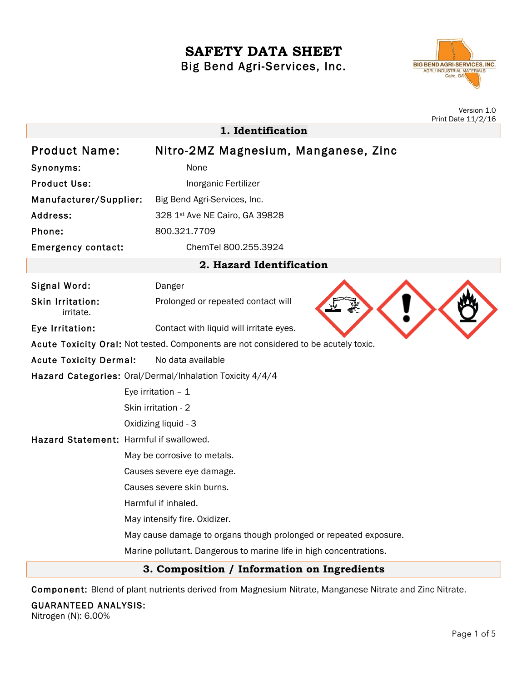# **SAFETY DATA SHEET** Big Bend Agri-Services, Inc.



|                                                                                     | Version 1.0<br>Print Date 11/2/16                                  |
|-------------------------------------------------------------------------------------|--------------------------------------------------------------------|
| 1. Identification                                                                   |                                                                    |
| <b>Product Name:</b>                                                                | Nitro-2MZ Magnesium, Manganese, Zinc                               |
| Synonyms:                                                                           | None                                                               |
| <b>Product Use:</b>                                                                 | Inorganic Fertilizer                                               |
| Manufacturer/Supplier:                                                              | Big Bend Agri-Services, Inc.                                       |
| Address:                                                                            | 328 1st Ave NE Cairo, GA 39828                                     |
| Phone:                                                                              | 800.321.7709                                                       |
| <b>Emergency contact:</b>                                                           | ChemTel 800.255.3924                                               |
| 2. Hazard Identification                                                            |                                                                    |
| Signal Word:                                                                        | Danger                                                             |
| <b>Skin Irritation:</b><br>irritate.                                                | Prolonged or repeated contact will                                 |
| Eye Irritation:                                                                     | Contact with liquid will irritate eyes.                            |
| Acute Toxicity Oral: Not tested. Components are not considered to be acutely toxic. |                                                                    |
| <b>Acute Toxicity Dermal:</b>                                                       | No data available                                                  |
| Hazard Categories: Oral/Dermal/Inhalation Toxicity 4/4/4                            |                                                                    |
|                                                                                     | Eye irritation $-1$                                                |
|                                                                                     | Skin irritation - 2                                                |
|                                                                                     | Oxidizing liquid - 3                                               |
| Hazard Statement: Harmful if swallowed.                                             |                                                                    |
|                                                                                     | May be corrosive to metals.                                        |
|                                                                                     | Causes severe eye damage.                                          |
|                                                                                     | Causes severe skin burns.                                          |
|                                                                                     | Harmful if inhaled.                                                |
|                                                                                     | May intensify fire. Oxidizer.                                      |
|                                                                                     | May cause damage to organs though prolonged or repeated exposure.  |
|                                                                                     | Marine pollutant. Dangerous to marine life in high concentrations. |
|                                                                                     | 3. Composition / Information on Ingredients                        |

Component: Blend of plant nutrients derived from Magnesium Nitrate, Manganese Nitrate and Zinc Nitrate.

GUARANTEED ANALYSIS:

Nitrogen (N): 6.00%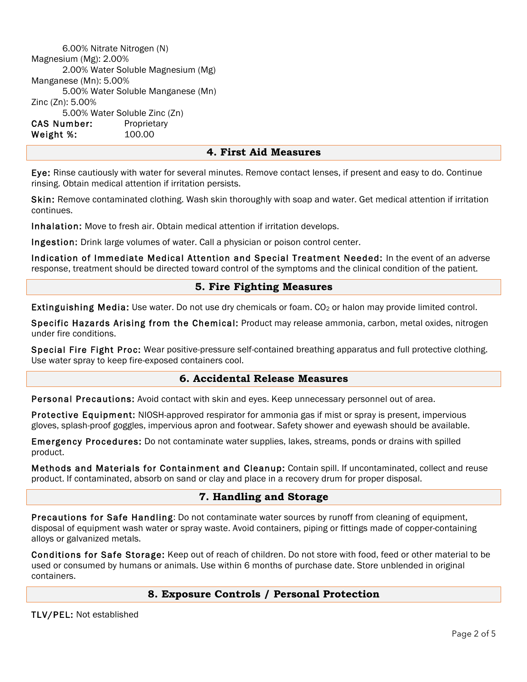6.00% Nitrate Nitrogen (N) Magnesium (Mg): 2.00% 2.00% Water Soluble Magnesium (Mg) Manganese (Mn): 5.00% 5.00% Water Soluble Manganese (Mn) Zinc (Zn): 5.00% 5.00% Water Soluble Zinc (Zn) CAS Number: Proprietary Weight %: 100.00

## **4. First Aid Measures**

Eye: Rinse cautiously with water for several minutes. Remove contact lenses, if present and easy to do. Continue rinsing. Obtain medical attention if irritation persists.

Skin: Remove contaminated clothing. Wash skin thoroughly with soap and water. Get medical attention if irritation continues.

Inhalation: Move to fresh air. Obtain medical attention if irritation develops.

Ingestion: Drink large volumes of water. Call a physician or poison control center.

Indication of Immediate Medical Attention and Special Treatment Needed: In the event of an adverse response, treatment should be directed toward control of the symptoms and the clinical condition of the patient.

## **5. Fire Fighting Measures**

Extinguishing Media: Use water. Do not use dry chemicals or foam. CO<sub>2</sub> or halon may provide limited control.

Specific Hazards Arising from the Chemical: Product may release ammonia, carbon, metal oxides, nitrogen under fire conditions.

Special Fire Fight Proc: Wear positive-pressure self-contained breathing apparatus and full protective clothing. Use water spray to keep fire-exposed containers cool.

# **6. Accidental Release Measures**

Personal Precautions: Avoid contact with skin and eyes. Keep unnecessary personnel out of area.

Protective Equipment: NIOSH-approved respirator for ammonia gas if mist or spray is present, impervious gloves, splash-proof goggles, impervious apron and footwear. Safety shower and eyewash should be available.

Emergency Procedures: Do not contaminate water supplies, lakes, streams, ponds or drains with spilled product.

Methods and Materials for Containment and Cleanup: Contain spill. If uncontaminated, collect and reuse product. If contaminated, absorb on sand or clay and place in a recovery drum for proper disposal.

## **7. Handling and Storage**

Precautions for Safe Handling: Do not contaminate water sources by runoff from cleaning of equipment, disposal of equipment wash water or spray waste. Avoid containers, piping or fittings made of copper-containing alloys or galvanized metals.

Conditions for Safe Storage: Keep out of reach of children. Do not store with food, feed or other material to be used or consumed by humans or animals. Use within 6 months of purchase date. Store unblended in original containers.

## **8. Exposure Controls / Personal Protection**

TLV/PEL: Not established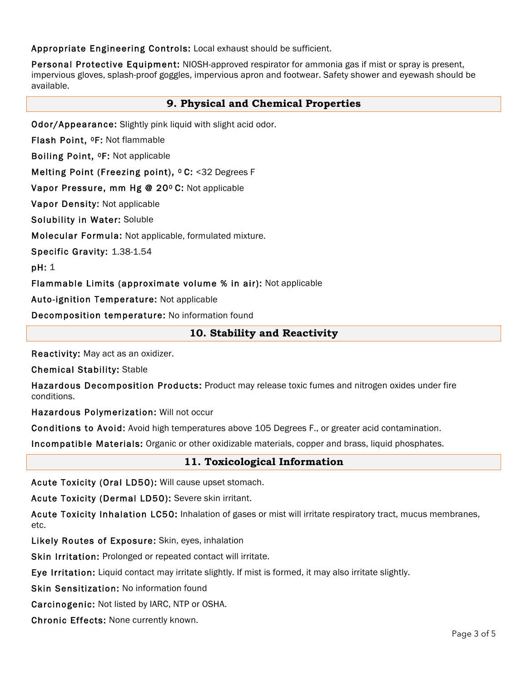Appropriate Engineering Controls: Local exhaust should be sufficient.

Personal Protective Equipment: NIOSH-approved respirator for ammonia gas if mist or spray is present, impervious gloves, splash-proof goggles, impervious apron and footwear. Safety shower and eyewash should be available.

# **9. Physical and Chemical Properties**

Odor/Appearance: Slightly pink liquid with slight acid odor.

Flash Point, 0F: Not flammable

Boiling Point, 0F: Not applicable

Melting Point (Freezing point), <sup>o</sup> C: <32 Degrees F

Vapor Pressure, mm Hg @ 20º C: Not applicable

Vapor Density: Not applicable

Solubility in Water: Soluble

Molecular Formula: Not applicable, formulated mixture.

Specific Gravity: 1.38-1.54

pH: 1

Flammable Limits (approximate volume % in air): Not applicable

Auto-ignition Temperature: Not applicable

Decomposition temperature: No information found

# **10. Stability and Reactivity**

Reactivity: May act as an oxidizer.

Chemical Stability: Stable

Hazardous Decomposition Products: Product may release toxic fumes and nitrogen oxides under fire conditions.

Hazardous Polymerization: Will not occur

Conditions to Avoid: Avoid high temperatures above 105 Degrees F., or greater acid contamination.

Incompatible Materials: Organic or other oxidizable materials, copper and brass, liquid phosphates.

# **11. Toxicological Information**

Acute Toxicity (Oral LD50): Will cause upset stomach.

Acute Toxicity (Dermal LD50): Severe skin irritant.

Acute Toxicity Inhalation LC50: Inhalation of gases or mist will irritate respiratory tract, mucus membranes, etc.

Likely Routes of Exposure: Skin, eyes, inhalation

Skin Irritation: Prolonged or repeated contact will irritate.

Eye Irritation: Liquid contact may irritate slightly. If mist is formed, it may also irritate slightly.

Skin Sensitization: No information found

Carcinogenic: Not listed by IARC, NTP or OSHA.

Chronic Effects: None currently known.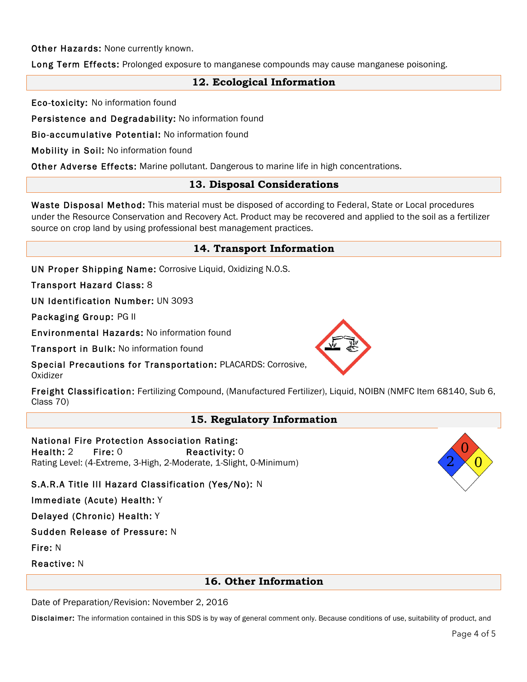Other Hazards: None currently known.

Long Term Effects: Prolonged exposure to manganese compounds may cause manganese poisoning.

# **12. Ecological Information**

Eco-toxicity: No information found

Persistence and Degradability: No information found

Bio-accumulative Potential: No information found

Mobility in Soil: No information found

Other Adverse Effects: Marine pollutant. Dangerous to marine life in high concentrations.

## **13. Disposal Considerations**

Waste Disposal Method: This material must be disposed of according to Federal, State or Local procedures under the Resource Conservation and Recovery Act. Product may be recovered and applied to the soil as a fertilizer source on crop land by using professional best management practices.

## **14. Transport Information**

UN Proper Shipping Name: Corrosive Liquid, Oxidizing N.O.S.

Transport Hazard Class: 8

UN Identification Number: UN 3093

Packaging Group: PG II

Environmental Hazards: No information found

Transport in Bulk: No information found



Special Precautions for Transportation: PLACARDS: Corrosive, **Oxidizer** 

Freight Classification: Fertilizing Compound, (Manufactured Fertilizer), Liquid, NOIBN (NMFC Item 68140, Sub 6, Class 70)

## **15. Regulatory Information**

## National Fire Protection Association Rating:

Health: 2 Fire: 0 Reactivity: 0 Rating Level: (4-Extreme, 3-High, 2-Moderate, 1-Slight, 0-Minimum)

## S.A.R.A Title III Hazard Classification (Yes/No): N

#### Immediate (Acute) Health: Y

Delayed (Chronic) Health: Y

Sudden Release of Pressure: N

Fire: N

Reactive: N

## **16. Other Information**

Date of Preparation/Revision: November 2, 2016

Disclaimer: The information contained in this SDS is by way of general comment only. Because conditions of use, suitability of product, and